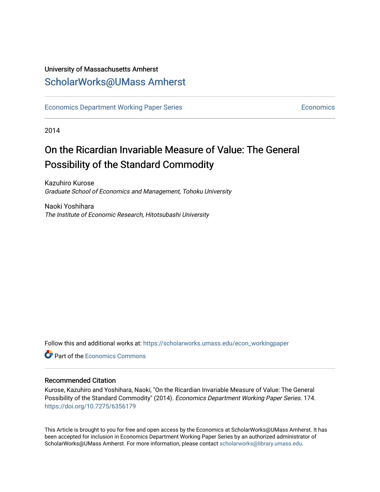## University of Massachusetts Amherst [ScholarWorks@UMass Amherst](https://scholarworks.umass.edu/)

[Economics Department Working Paper Series](https://scholarworks.umass.edu/econ_workingpaper) **Economics** [Economics](https://scholarworks.umass.edu/economics) Economics

2014

## On the Ricardian Invariable Measure of Value: The General Possibility of the Standard Commodity

Kazuhiro Kurose Graduate School of Economics and Management, Tohoku University

Naoki Yoshihara The Institute of Economic Research, Hitotsubashi University

Follow this and additional works at: [https://scholarworks.umass.edu/econ\\_workingpaper](https://scholarworks.umass.edu/econ_workingpaper?utm_source=scholarworks.umass.edu%2Fecon_workingpaper%2F174&utm_medium=PDF&utm_campaign=PDFCoverPages) 

**Part of the [Economics Commons](http://network.bepress.com/hgg/discipline/340?utm_source=scholarworks.umass.edu%2Fecon_workingpaper%2F174&utm_medium=PDF&utm_campaign=PDFCoverPages)** 

### Recommended Citation

Kurose, Kazuhiro and Yoshihara, Naoki, "On the Ricardian Invariable Measure of Value: The General Possibility of the Standard Commodity" (2014). Economics Department Working Paper Series. 174. <https://doi.org/10.7275/6356179>

This Article is brought to you for free and open access by the Economics at ScholarWorks@UMass Amherst. It has been accepted for inclusion in Economics Department Working Paper Series by an authorized administrator of ScholarWorks@UMass Amherst. For more information, please contact [scholarworks@library.umass.edu.](mailto:scholarworks@library.umass.edu)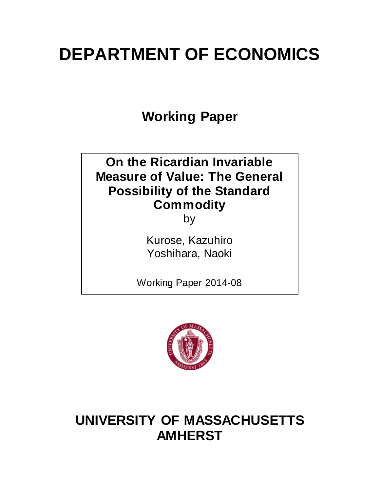# **DEPARTMENT OF ECONOMICS**

**Working Paper**

# **On the Ricardian Invariable Measure of Value: The General Possibility of the Standard Commodity**

by

Kurose, Kazuhiro Yoshihara, Naoki

Working Paper 2014-08



# **UNIVERSITY OF MASSACHUSETTS AMHERST**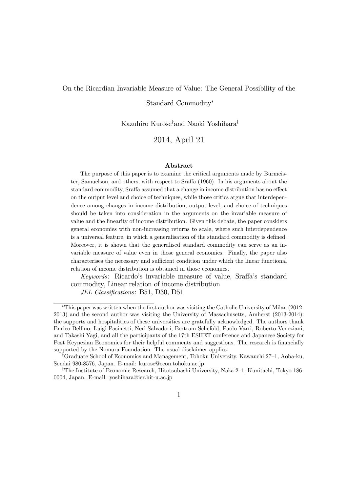#### On the Ricardian Invariable Measure of Value: The General Possibility of the

Standard Commodity<sup>∗</sup>

Kazuhiro Kurose† and Naoki Yoshihara‡

2014, April 21

#### Abstract

The purpose of this paper is to examine the critical arguments made by Burmeister, Samuelson, and others, with respect to Sraffa (1960). In his arguments about the standard commodity, Sraffa assumed that a change in income distribution has no effect on the output level and choice of techniques, while those critics argue that interdependence among changes in income distribution, output level, and choice of techniques should be taken into consideration in the arguments on the invariable measure of value and the linearity of income distribution. Given this debate, the paper considers general economies with non-increasing returns to scale, where such interdependence is a universal feature, in which a generalisation of the standard commodity is defined. Moreover, it is shown that the generalised standard commodity can serve as an invariable measure of value even in those general economies. Finally, the paper also characterises the necessary and sufficient condition under which the linear functional relation of income distribution is obtained in those economies.

Keywords: Ricardo's invariable measure of value, Sraffa's standard commodity, Linear relation of income distribution

JEL Classifications: B51, D30, D51

<sup>∗</sup>This paper was written when the first author was visiting the Catholic University of Milan (2012- 2013) and the second author was visiting the University of Massachusetts, Amherst (2013-2014): the supports and hospitalities of these universities are gratefully acknowledged. The authors thank Enrico Bellino, Luigi Pasinetti, Neri Salvadori, Bertram Schefold, Paolo Varri, Roberto Veneziani, and Takashi Yagi, and all the participants of the 17th ESHET conference and Japanese Society for Post Keynesian Economics for their helpful comments and suggestions. The research is financially supported by the Nomura Foundation. The usual disclaimer applies.

<sup>†</sup>Graduate School of Economics and Management, Tohoku University, Kawauchi 27—1, Aoba-ku, Sendai 980-8576, Japan. E-mail: kurose@econ.tohoku.ac.jp

<sup>‡</sup>The Institute of Economic Research, Hitotsubashi University, Naka 2—1, Kunitachi, Tokyo 186- 0004, Japan. E-mail: yoshihara@ier.hit-u.ac.jp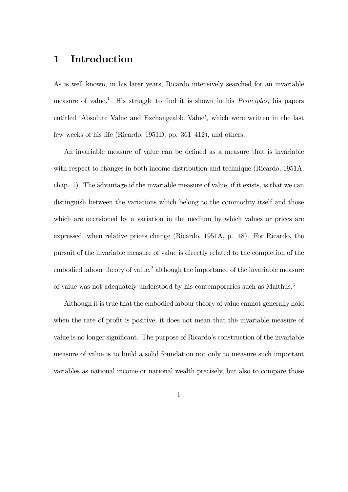## 1 Introduction

As is well known, in his later years, Ricardo intensively searched for an invariable measure of value.<sup>1</sup> His struggle to find it is shown in his *Principles*, his papers entitled 'Absolute Value and Exchangeable Value', which were written in the last few weeks of his life (Ricardo, 1951D, pp. 361—412), and others.

An invariable measure of value can be defined as a measure that is invariable with respect to changes in both income distribution and technique (Ricardo, 1951A, chap. 1). The advantage of the invariable measure of value, if it exists, is that we can distinguish between the variations which belong to the commodity itself and those which are occasioned by a variation in the medium by which values or prices are expressed, when relative prices change (Ricardo, 1951A, p. 48). For Ricardo, the pursuit of the invariable measure of value is directly related to the completion of the embodied labour theory of value,<sup>2</sup> although the importance of the invariable measure of value was not adequately understood by his contemporaries such as Malthus.3

Although it is true that the embodied labour theory of value cannot generally hold when the rate of profit is positive, it does not mean that the invariable measure of value is no longer significant. The purpose of Ricardo's construction of the invariable measure of value is to build a solid foundation not only to measure such important variables as national income or national wealth precisely, but also to compare those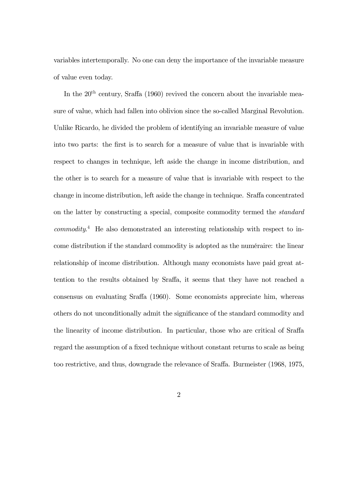variables intertemporally. No one can deny the importance of the invariable measure of value even today.

In the  $20<sup>th</sup>$  century, Sraffa (1960) revived the concern about the invariable measure of value, which had fallen into oblivion since the so-called Marginal Revolution. Unlike Ricardo, he divided the problem of identifying an invariable measure of value into two parts: the first is to search for a measure of value that is invariable with respect to changes in technique, left aside the change in income distribution, and the other is to search for a measure of value that is invariable with respect to the change in income distribution, left aside the change in technique. Sraffa concentrated on the latter by constructing a special, composite commodity termed the standard commodity. <sup>4</sup> He also demonstrated an interesting relationship with respect to income distribution if the standard commodity is adopted as the numéraire: the linear relationship of income distribution. Although many economists have paid great attention to the results obtained by Sraffa, it seems that they have not reached a consensus on evaluating Sraffa (1960). Some economists appreciate him, whereas others do not unconditionally admit the significance of the standard commodity and the linearity of income distribution. In particular, those who are critical of Sraffa regard the assumption of a fixed technique without constant returns to scale as being too restrictive, and thus, downgrade the relevance of Sraffa. Burmeister (1968, 1975,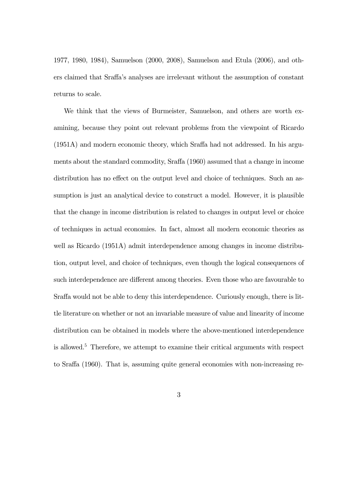1977, 1980, 1984), Samuelson (2000, 2008), Samuelson and Etula (2006), and others claimed that Sraffa's analyses are irrelevant without the assumption of constant returns to scale.

We think that the views of Burmeister, Samuelson, and others are worth examining, because they point out relevant problems from the viewpoint of Ricardo (1951A) and modern economic theory, which Sraffa had not addressed. In his arguments about the standard commodity, Sraffa (1960) assumed that a change in income distribution has no effect on the output level and choice of techniques. Such an assumption is just an analytical device to construct a model. However, it is plausible that the change in income distribution is related to changes in output level or choice of techniques in actual economies. In fact, almost all modern economic theories as well as Ricardo (1951A) admit interdependence among changes in income distribution, output level, and choice of techniques, even though the logical consequences of such interdependence are different among theories. Even those who are favourable to Sraffa would not be able to deny this interdependence. Curiously enough, there is little literature on whether or not an invariable measure of value and linearity of income distribution can be obtained in models where the above-mentioned interdependence is allowed.5 Therefore, we attempt to examine their critical arguments with respect to Sraffa (1960). That is, assuming quite general economies with non-increasing re-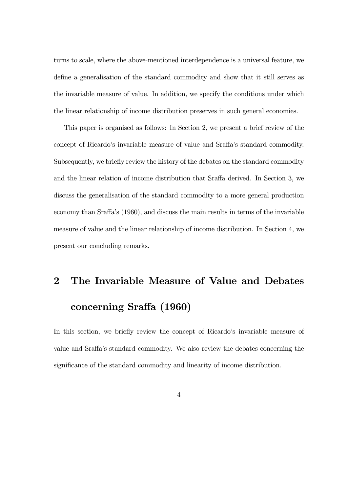turns to scale, where the above-mentioned interdependence is a universal feature, we define a generalisation of the standard commodity and show that it still serves as the invariable measure of value. In addition, we specify the conditions under which the linear relationship of income distribution preserves in such general economies.

This paper is organised as follows: In Section 2, we present a brief review of the concept of Ricardo's invariable measure of value and Sraffa's standard commodity. Subsequently, we briefly review the history of the debates on the standard commodity and the linear relation of income distribution that Sraffa derived. In Section 3, we discuss the generalisation of the standard commodity to a more general production economy than Sraffa's (1960), and discuss the main results in terms of the invariable measure of value and the linear relationship of income distribution. In Section 4, we present our concluding remarks.

# 2 The Invariable Measure of Value and Debates concerning Sraffa (1960)

In this section, we briefly review the concept of Ricardo's invariable measure of value and Sraffa's standard commodity. We also review the debates concerning the significance of the standard commodity and linearity of income distribution.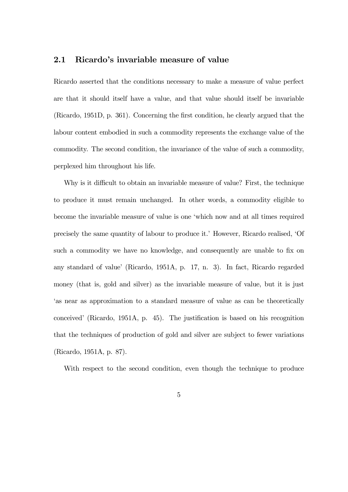### 2.1 Ricardo's invariable measure of value

Ricardo asserted that the conditions necessary to make a measure of value perfect are that it should itself have a value, and that value should itself be invariable (Ricardo, 1951D, p. 361). Concerning the first condition, he clearly argued that the labour content embodied in such a commodity represents the exchange value of the commodity. The second condition, the invariance of the value of such a commodity, perplexed him throughout his life.

Why is it difficult to obtain an invariable measure of value? First, the technique to produce it must remain unchanged. In other words, a commodity eligible to become the invariable measure of value is one 'which now and at all times required precisely the same quantity of labour to produce it.' However, Ricardo realised, 'Of such a commodity we have no knowledge, and consequently are unable to fix on any standard of value' (Ricardo, 1951A, p. 17, n. 3). In fact, Ricardo regarded money (that is, gold and silver) as the invariable measure of value, but it is just 'as near as approximation to a standard measure of value as can be theoretically conceived' (Ricardo, 1951A, p. 45). The justification is based on his recognition that the techniques of production of gold and silver are subject to fewer variations (Ricardo, 1951A, p. 87).

With respect to the second condition, even though the technique to produce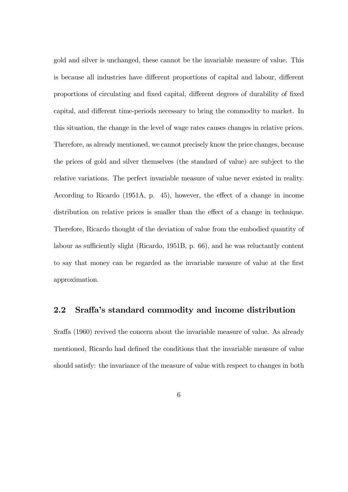gold and silver is unchanged, these cannot be the invariable measure of value. This is because all industries have different proportions of capital and labour, different proportions of circulating and fixed capital, different degrees of durability of fixed capital, and different time-periods necessary to bring the commodity to market. In this situation, the change in the level of wage rates causes changes in relative prices. Therefore, as already mentioned, we cannot precisely know the price changes, because the prices of gold and silver themselves (the standard of value) are subject to the relative variations. The perfect invariable measure of value never existed in reality. According to Ricardo (1951A, p. 45), however, the effect of a change in income distribution on relative prices is smaller than the effect of a change in technique. Therefore, Ricardo thought of the deviation of value from the embodied quantity of labour as sufficiently slight (Ricardo, 1951B, p. 66), and he was reluctantly content to say that money can be regarded as the invariable measure of value at the first approximation.

### 2.2 Sraffa's standard commodity and income distribution

Sraffa (1960) revived the concern about the invariable measure of value. As already mentioned, Ricardo had defined the conditions that the invariable measure of value should satisfy: the invariance of the measure of value with respect to changes in both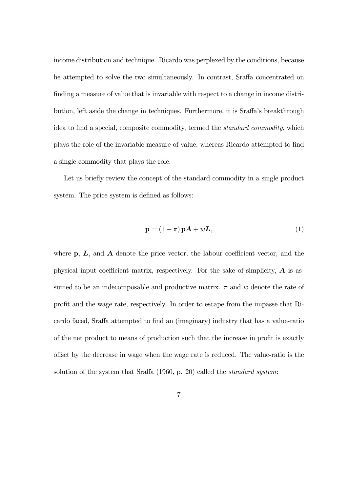income distribution and technique. Ricardo was perplexed by the conditions, because he attempted to solve the two simultaneously. In contrast, Sraffa concentrated on finding a measure of value that is invariable with respect to a change in income distribution, left aside the change in techniques. Furthermore, it is Sraffa's breakthrough idea to find a special, composite commodity, termed the standard commodity, which plays the role of the invariable measure of value; whereas Ricardo attempted to find a single commodity that plays the role.

Let us briefly review the concept of the standard commodity in a single product system. The price system is defined as follows:

$$
\mathbf{p} = (1 + \pi) \mathbf{p} \mathbf{A} + w \mathbf{L},\tag{1}
$$

where  $\mathbf{p}, \mathbf{L}, \text{ and } \mathbf{A}$  denote the price vector, the labour coefficient vector, and the physical input coefficient matrix, respectively. For the sake of simplicity,  $\bf{A}$  is assumed to be an indecomposable and productive matrix.  $\pi$  and w denote the rate of profit and the wage rate, respectively. In order to escape from the impasse that Ricardo faced, Sraffa attempted to find an (imaginary) industry that has a value-ratio of the net product to means of production such that the increase in profit is exactly offset by the decrease in wage when the wage rate is reduced. The value-ratio is the solution of the system that Sraffa (1960, p. 20) called the standard system: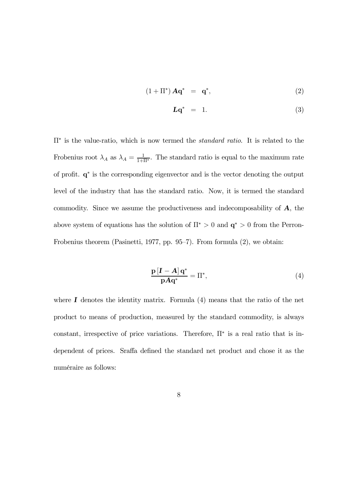$$
(1 + \Pi^*) \mathbf{A} \mathbf{q}^* = \mathbf{q}^*, \tag{2}
$$

$$
Lq^* = 1. \t\t(3)
$$

Π<sup>∗</sup> is the value-ratio, which is now termed the standard ratio. It is related to the Frobenius root  $\lambda_A$  as  $\lambda_A = \frac{1}{1+\Pi^*}$ . The standard ratio is equal to the maximum rate of profit. q<sup>∗</sup> is the corresponding eigenvector and is the vector denoting the output level of the industry that has the standard ratio. Now, it is termed the standard commodity. Since we assume the productiveness and indecomposability of  $A$ , the above system of equations has the solution of  $\Pi^* > 0$  and  ${\bf q}^* > 0$  from the Perron-Frobenius theorem (Pasinetti, 1977, pp. 95—7). From formula (2), we obtain:

$$
\frac{\mathbf{p}\left[\mathbf{I} - \mathbf{A}\right]\mathbf{q}^*}{\mathbf{p}\mathbf{A}\mathbf{q}^*} = \Pi^*,\tag{4}
$$

where  $\bf{I}$  denotes the identity matrix. Formula (4) means that the ratio of the net product to means of production, measured by the standard commodity, is always constant, irrespective of price variations. Therefore,  $\Pi^*$  is a real ratio that is independent of prices. Sraffa defined the standard net product and chose it as the numéraire as follows: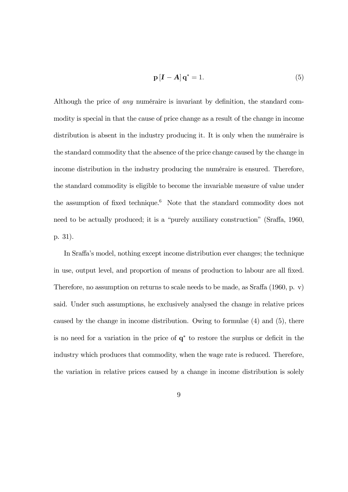$$
\mathbf{p}\left[\mathbf{I}-\mathbf{A}\right]\mathbf{q}^* = 1. \tag{5}
$$

Although the price of any numéraire is invariant by definition, the standard commodity is special in that the cause of price change as a result of the change in income distribution is absent in the industry producing it. It is only when the numéraire is the standard commodity that the absence of the price change caused by the change in income distribution in the industry producing the numéraire is ensured. Therefore, the standard commodity is eligible to become the invariable measure of value under the assumption of fixed technique.6 Note that the standard commodity does not need to be actually produced; it is a "purely auxiliary construction" (Sraffa, 1960, p. 31).

In Sraffa's model, nothing except income distribution ever changes; the technique in use, output level, and proportion of means of production to labour are all fixed. Therefore, no assumption on returns to scale needs to be made, as Sraffa (1960, p. v) said. Under such assumptions, he exclusively analysed the change in relative prices caused by the change in income distribution. Owing to formulae (4) and (5), there is no need for a variation in the price of q<sup>∗</sup> to restore the surplus or deficit in the industry which produces that commodity, when the wage rate is reduced. Therefore, the variation in relative prices caused by a change in income distribution is solely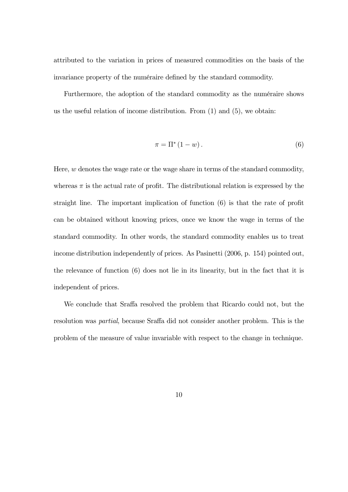attributed to the variation in prices of measured commodities on the basis of the invariance property of the numéraire defined by the standard commodity.

Furthermore, the adoption of the standard commodity as the numéraire shows us the useful relation of income distribution. From (1) and (5), we obtain:

$$
\pi = \Pi^* \left( 1 - w \right). \tag{6}
$$

Here,  $w$  denotes the wage rate or the wage share in terms of the standard commodity, whereas  $\pi$  is the actual rate of profit. The distributional relation is expressed by the straight line. The important implication of function (6) is that the rate of profit can be obtained without knowing prices, once we know the wage in terms of the standard commodity. In other words, the standard commodity enables us to treat income distribution independently of prices. As Pasinetti (2006, p. 154) pointed out, the relevance of function (6) does not lie in its linearity, but in the fact that it is independent of prices.

We conclude that Sraffa resolved the problem that Ricardo could not, but the resolution was partial, because Sraffa did not consider another problem. This is the problem of the measure of value invariable with respect to the change in technique.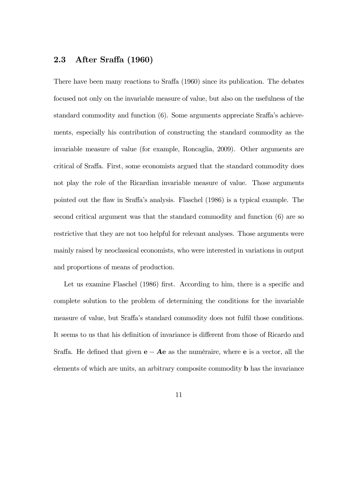### 2.3 After Sraffa (1960)

There have been many reactions to Sraffa (1960) since its publication. The debates focused not only on the invariable measure of value, but also on the usefulness of the standard commodity and function (6). Some arguments appreciate Sraffa's achievements, especially his contribution of constructing the standard commodity as the invariable measure of value (for example, Roncaglia, 2009). Other arguments are critical of Sraffa. First, some economists argued that the standard commodity does not play the role of the Ricardian invariable measure of value. Those arguments pointed out the flaw in Sraffa's analysis. Flaschel (1986) is a typical example. The second critical argument was that the standard commodity and function (6) are so restrictive that they are not too helpful for relevant analyses. Those arguments were mainly raised by neoclassical economists, who were interested in variations in output and proportions of means of production.

Let us examine Flaschel (1986) first. According to him, there is a specific and complete solution to the problem of determining the conditions for the invariable measure of value, but Sraffa's standard commodity does not fulfil those conditions. It seems to us that his definition of invariance is different from those of Ricardo and Sraffa. He defined that given  $e - Ae$  as the numéraire, where e is a vector, all the elements of which are units, an arbitrary composite commodity b has the invariance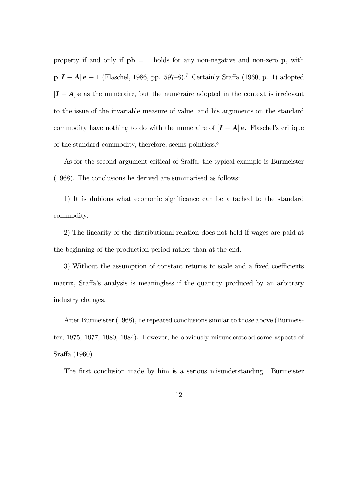property if and only if  $pb = 1$  holds for any non-negative and non-zero p, with **p** [**I** − **A**] **e**  $\equiv$  1 (Flaschel, 1986, pp. 597–8).<sup>7</sup> Certainly Sraffa (1960, p.11) adopted  $[I - A]$ e as the numéraire, but the numéraire adopted in the context is irrelevant to the issue of the invariable measure of value, and his arguments on the standard commodity have nothing to do with the numéraire of  $[I - A]$  e. Flaschel's critique of the standard commodity, therefore, seems pointless.8

As for the second argument critical of Sraffa, the typical example is Burmeister (1968). The conclusions he derived are summarised as follows:

1) It is dubious what economic significance can be attached to the standard commodity.

2) The linearity of the distributional relation does not hold if wages are paid at the beginning of the production period rather than at the end.

3) Without the assumption of constant returns to scale and a fixed coefficients matrix, Sraffa's analysis is meaningless if the quantity produced by an arbitrary industry changes.

After Burmeister (1968), he repeated conclusions similar to those above (Burmeister, 1975, 1977, 1980, 1984). However, he obviously misunderstood some aspects of Sraffa (1960).

The first conclusion made by him is a serious misunderstanding. Burmeister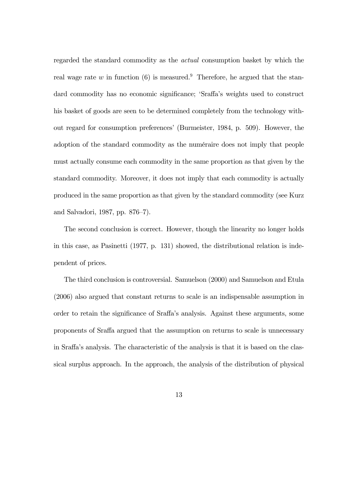regarded the standard commodity as the actual consumption basket by which the real wage rate w in function (6) is measured.<sup>9</sup> Therefore, he argued that the standard commodity has no economic significance; 'Sraffa's weights used to construct his basket of goods are seen to be determined completely from the technology without regard for consumption preferences' (Burmeister, 1984, p. 509). However, the adoption of the standard commodity as the numéraire does not imply that people must actually consume each commodity in the same proportion as that given by the standard commodity. Moreover, it does not imply that each commodity is actually produced in the same proportion as that given by the standard commodity (see Kurz and Salvadori, 1987, pp. 876—7).

The second conclusion is correct. However, though the linearity no longer holds in this case, as Pasinetti (1977, p. 131) showed, the distributional relation is independent of prices.

The third conclusion is controversial. Samuelson (2000) and Samuelson and Etula (2006) also argued that constant returns to scale is an indispensable assumption in order to retain the significance of Sraffa's analysis. Against these arguments, some proponents of Sraffa argued that the assumption on returns to scale is unnecessary in Sraffa's analysis. The characteristic of the analysis is that it is based on the classical surplus approach. In the approach, the analysis of the distribution of physical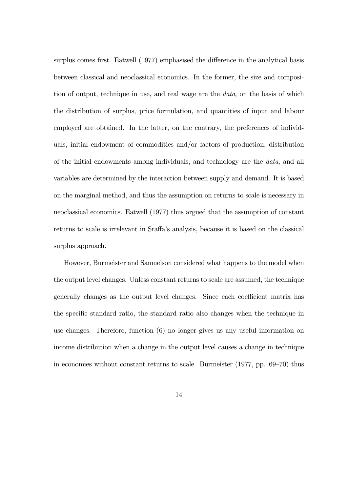surplus comes first. Eatwell (1977) emphasised the difference in the analytical basis between classical and neoclassical economics. In the former, the size and composition of output, technique in use, and real wage are the data, on the basis of which the distribution of surplus, price formulation, and quantities of input and labour employed are obtained. In the latter, on the contrary, the preferences of individuals, initial endowment of commodities and/or factors of production, distribution of the initial endowments among individuals, and technology are the data, and all variables are determined by the interaction between supply and demand. It is based on the marginal method, and thus the assumption on returns to scale is necessary in neoclassical economics. Eatwell (1977) thus argued that the assumption of constant returns to scale is irrelevant in Sraffa's analysis, because it is based on the classical surplus approach.

However, Burmeister and Samuelson considered what happens to the model when the output level changes. Unless constant returns to scale are assumed, the technique generally changes as the output level changes. Since each coefficient matrix has the specific standard ratio, the standard ratio also changes when the technique in use changes. Therefore, function (6) no longer gives us any useful information on income distribution when a change in the output level causes a change in technique in economies without constant returns to scale. Burmeister (1977, pp. 69—70) thus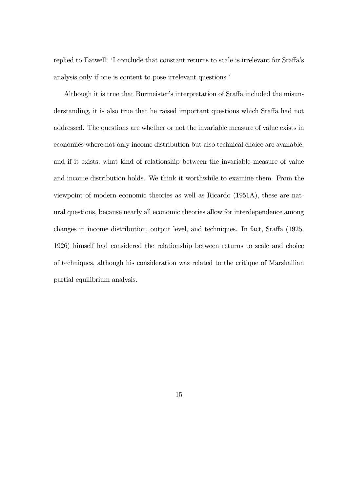replied to Eatwell: 'I conclude that constant returns to scale is irrelevant for Sraffa's analysis only if one is content to pose irrelevant questions.'

Although it is true that Burmeister's interpretation of Sraffa included the misunderstanding, it is also true that he raised important questions which Sraffa had not addressed. The questions are whether or not the invariable measure of value exists in economies where not only income distribution but also technical choice are available; and if it exists, what kind of relationship between the invariable measure of value and income distribution holds. We think it worthwhile to examine them. From the viewpoint of modern economic theories as well as Ricardo (1951A), these are natural questions, because nearly all economic theories allow for interdependence among changes in income distribution, output level, and techniques. In fact, Sraffa (1925, 1926) himself had considered the relationship between returns to scale and choice of techniques, although his consideration was related to the critique of Marshallian partial equilibrium analysis.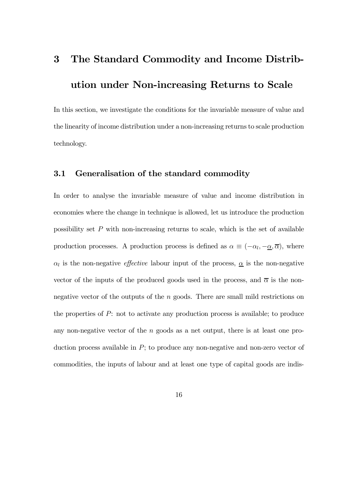# 3 The Standard Commodity and Income Distribution under Non-increasing Returns to Scale

In this section, we investigate the conditions for the invariable measure of value and the linearity of income distribution under a non-increasing returns to scale production technology.

## 3.1 Generalisation of the standard commodity

In order to analyse the invariable measure of value and income distribution in economies where the change in technique is allowed, let us introduce the production possibility set  $P$  with non-increasing returns to scale, which is the set of available production processes. A production process is defined as  $\alpha \equiv (-\alpha_l, -\underline{\alpha}, \overline{\alpha})$ , where  $\alpha_l$  is the non-negative *effective* labour input of the process,  $\underline{\alpha}$  is the non-negative vector of the inputs of the produced goods used in the process, and  $\bar{\alpha}$  is the nonnegative vector of the outputs of the n goods. There are small mild restrictions on the properties of  $P$ : not to activate any production process is available; to produce any non-negative vector of the n goods as a net output, there is at least one production process available in  $P$ ; to produce any non-negative and non-zero vector of commodities, the inputs of labour and at least one type of capital goods are indis-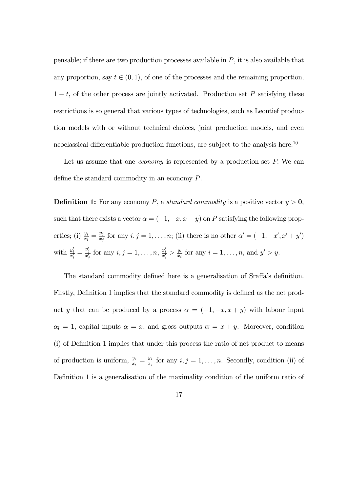pensable; if there are two production processes available in  $P$ , it is also available that any proportion, say  $t \in (0,1)$ , of one of the processes and the remaining proportion,  $1-t$ , of the other process are jointly activated. Production set P satisfying these restrictions is so general that various types of technologies, such as Leontief production models with or without technical choices, joint production models, and even neoclassical differentiable production functions, are subject to the analysis here.<sup>10</sup>

Let us assume that one *economy* is represented by a production set P. We can define the standard commodity in an economy P.

**Definition 1:** For any economy P, a standard commodity is a positive vector  $y > 0$ , such that there exists a vector  $\alpha = (-1, -x, x + y)$  on P satisfying the following properties; (i)  $\frac{y_i}{x_i} = \frac{y_j}{x_j}$  for any  $i, j = 1, \ldots, n$ ; (ii) there is no other  $\alpha' = (-1, -x', x' + y')$ with  $\frac{y_i'}{x_i'} = \frac{y_j'}{x_j'}$  for any  $i, j = 1, ..., n$ ,  $\frac{y_i'}{x_i'} > \frac{y_i}{x_i}$  for any  $i = 1, ..., n$ , and  $y' > y$ .

The standard commodity defined here is a generalisation of Sraffa's definition. Firstly, Definition 1 implies that the standard commodity is defined as the net product y that can be produced by a process  $\alpha = (-1, -x, x+y)$  with labour input  $\alpha_l = 1$ , capital inputs  $\underline{\alpha} = x$ , and gross outputs  $\overline{\alpha} = x + y$ . Moreover, condition (i) of Definition 1 implies that under this process the ratio of net product to means of production is uniform,  $\frac{y_i}{x_i} = \frac{y_j}{x_j}$  for any  $i, j = 1, \ldots, n$ . Secondly, condition (ii) of Definition 1 is a generalisation of the maximality condition of the uniform ratio of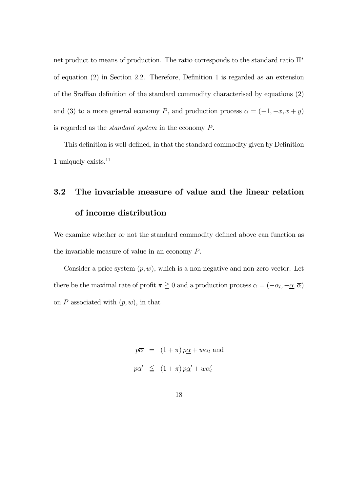net product to means of production. The ratio corresponds to the standard ratio Π<sup>∗</sup> of equation (2) in Section 2.2. Therefore, Definition 1 is regarded as an extension of the Sraffian definition of the standard commodity characterised by equations (2) and (3) to a more general economy P, and production process  $\alpha = (-1, -x, x+y)$ is regarded as the standard system in the economy P.

This definition is well-defined, in that the standard commodity given by Definition 1 uniquely exists.11

# 3.2 The invariable measure of value and the linear relation of income distribution

We examine whether or not the standard commodity defined above can function as the invariable measure of value in an economy P.

Consider a price system  $(p, w)$ , which is a non-negative and non-zero vector. Let there be the maximal rate of profit  $\pi \ge 0$  and a production process  $\alpha = (-\alpha_l, -\alpha, \overline{\alpha})$ on  $P$  associated with  $(p, w)$ , in that

> $p\overline{\alpha} = (1 + \pi) p\underline{\alpha} + w\alpha_l$  and  $p\overline{\alpha}' \le (1+\pi) p\underline{\alpha}' + w\alpha_0'$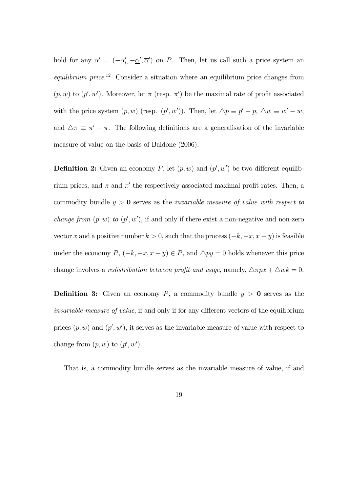hold for any  $\alpha' = (-\alpha'_l, -\underline{\alpha}', \overline{\alpha}')$  on P. Then, let us call such a price system an equilibrium price.<sup>12</sup> Consider a situation where an equilibrium price changes from  $(p, w)$  to  $(p', w')$ . Moreover, let  $\pi$  (resp.  $\pi'$ ) be the maximal rate of profit associated with the price system  $(p, w)$  (resp.  $(p', w')$ ). Then, let  $\Delta p \equiv p' - p$ ,  $\Delta w \equiv w' - w$ , and  $\Delta \pi \equiv \pi' - \pi$ . The following definitions are a generalisation of the invariable measure of value on the basis of Baldone (2006):

**Definition 2:** Given an economy P, let  $(p, w)$  and  $(p', w')$  be two different equilibrium prices, and  $\pi$  and  $\pi'$  the respectively associated maximal profit rates. Then, a commodity bundle  $y > 0$  serves as the *invariable measure of value with respect to change from*  $(p, w)$  to  $(p', w')$ , if and only if there exist a non-negative and non-zero vector x and a positive number  $k > 0$ , such that the process  $(-k, -x, x + y)$  is feasible under the economy  $P$ ,  $(-k, -x, x + y) \in P$ , and  $\triangle py = 0$  holds whenever this price change involves a *redistribution between profit and wage*, namely,  $\Delta \pi px + \Delta wk = 0$ .

**Definition 3:** Given an economy P, a commodity bundle  $y > 0$  serves as the invariable measure of value, if and only if for any different vectors of the equilibrium prices  $(p, w)$  and  $(p', w')$ , it serves as the invariable measure of value with respect to change from  $(p, w)$  to  $(p', w')$ .

That is, a commodity bundle serves as the invariable measure of value, if and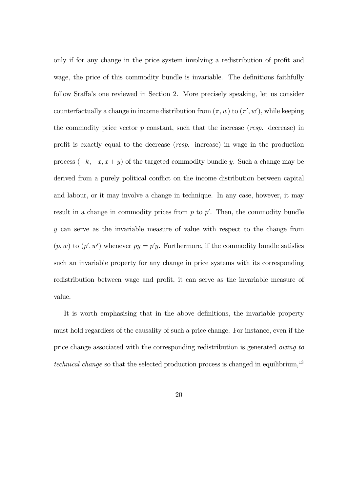only if for any change in the price system involving a redistribution of profit and wage, the price of this commodity bundle is invariable. The definitions faithfully follow Sraffa's one reviewed in Section 2. More precisely speaking, let us consider counterfactually a change in income distribution from  $(\pi, w)$  to  $(\pi', w')$ , while keeping the commodity price vector  $p$  constant, such that the increase (resp. decrease) in profit is exactly equal to the decrease (resp. increase) in wage in the production process  $(-k, -x, x + y)$  of the targeted commodity bundle y. Such a change may be derived from a purely political conflict on the income distribution between capital and labour, or it may involve a change in technique. In any case, however, it may result in a change in commodity prices from  $p$  to  $p'$ . Then, the commodity bundle y can serve as the invariable measure of value with respect to the change from  $(p, w)$  to  $(p', w')$  whenever  $py = p'y$ . Furthermore, if the commodity bundle satisfies such an invariable property for any change in price systems with its corresponding redistribution between wage and profit, it can serve as the invariable measure of value.

It is worth emphasising that in the above definitions, the invariable property must hold regardless of the causality of such a price change. For instance, even if the price change associated with the corresponding redistribution is generated owing to technical change so that the selected production process is changed in equilibrium,<sup>13</sup>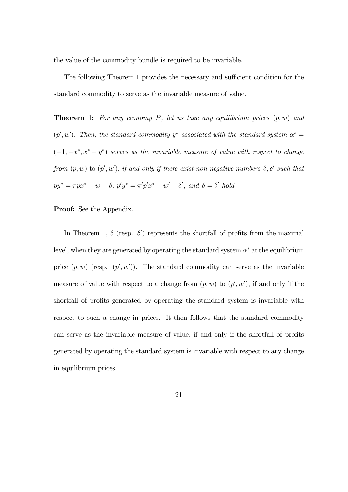the value of the commodity bundle is required to be invariable.

The following Theorem 1 provides the necessary and sufficient condition for the standard commodity to serve as the invariable measure of value.

**Theorem 1:** For any economy P, let us take any equilibrium prices  $(p, w)$  and  $(p', w')$ . Then, the standard commodity y<sup>\*</sup> associated with the standard system  $\alpha^* =$  $(-1, -x^*, x^* + y^*)$  serves as the invariable measure of value with respect to change from  $(p, w)$  to  $(p', w')$ , if and only if there exist non-negative numbers  $\delta, \delta'$  such that  $py^* = \pi px^* + w - \delta$ ,  $p'y^* = \pi'p'x^* + w' - \delta'$ , and  $\delta = \delta'$  hold.

#### **Proof:** See the Appendix.

In Theorem 1,  $\delta$  (resp.  $\delta'$ ) represents the shortfall of profits from the maximal level, when they are generated by operating the standard system  $\alpha^*$  at the equilibrium price  $(p, w)$  (resp.  $(p', w')$ ). The standard commodity can serve as the invariable measure of value with respect to a change from  $(p, w)$  to  $(p', w')$ , if and only if the shortfall of profits generated by operating the standard system is invariable with respect to such a change in prices. It then follows that the standard commodity can serve as the invariable measure of value, if and only if the shortfall of profits generated by operating the standard system is invariable with respect to any change in equilibrium prices.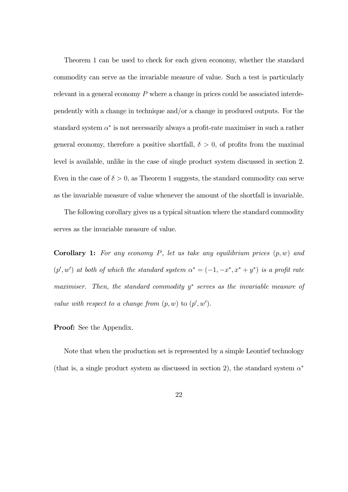Theorem 1 can be used to check for each given economy, whether the standard commodity can serve as the invariable measure of value. Such a test is particularly relevant in a general economy  $P$  where a change in prices could be associated interdependently with a change in technique and/or a change in produced outputs. For the standard system  $\alpha^*$  is not necessarily always a profit-rate maximiser in such a rather general economy, therefore a positive shortfall,  $\delta > 0$ , of profits from the maximal level is available, unlike in the case of single product system discussed in section 2. Even in the case of  $\delta > 0$ , as Theorem 1 suggests, the standard commodity can serve as the invariable measure of value whenever the amount of the shortfall is invariable.

The following corollary gives us a typical situation where the standard commodity serves as the invariable measure of value.

**Corollary 1:** For any economy P, let us take any equilibrium prices  $(p, w)$  and  $(p', w')$  at both of which the standard system  $\alpha^* = (-1, -x^*, x^* + y^*)$  is a profit rate maximiser. Then, the standard commodity  $y<sup>∗</sup>$  serves as the invariable measure of value with respect to a change from  $(p, w)$  to  $(p', w')$ .

#### **Proof:** See the Appendix.

Note that when the production set is represented by a simple Leontief technology (that is, a single product system as discussed in section 2), the standard system  $\alpha^*$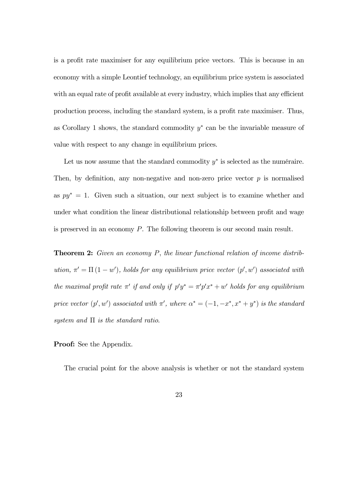is a profit rate maximiser for any equilibrium price vectors. This is because in an economy with a simple Leontief technology, an equilibrium price system is associated with an equal rate of profit available at every industry, which implies that any efficient production process, including the standard system, is a profit rate maximiser. Thus, as Corollary 1 shows, the standard commodity  $y^*$  can be the invariable measure of value with respect to any change in equilibrium prices.

Let us now assume that the standard commodity  $y^*$  is selected as the numéraire. Then, by definition, any non-negative and non-zero price vector  $p$  is normalised as  $py^* = 1$ . Given such a situation, our next subject is to examine whether and under what condition the linear distributional relationship between profit and wage is preserved in an economy P. The following theorem is our second main result.

**Theorem 2:** Given an economy P, the linear functional relation of income distribution,  $\pi' = \Pi(1 - w')$ , holds for any equilibrium price vector  $(p', w')$  associated with the maximal profit rate  $\pi'$  if and only if  $p'y^* = \pi'p'x^* + w'$  holds for any equilibrium price vector  $(p', w')$  associated with  $\pi'$ , where  $\alpha^* = (-1, -x^*, x^* + y^*)$  is the standard system and  $\Pi$  is the standard ratio.

**Proof:** See the Appendix.

The crucial point for the above analysis is whether or not the standard system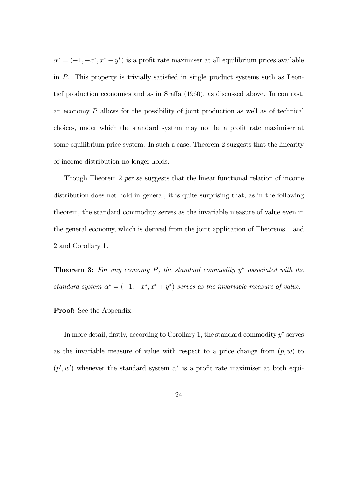$\alpha^* = (-1, -x^*, x^* + y^*)$  is a profit rate maximiser at all equilibrium prices available in P. This property is trivially satisfied in single product systems such as Leontief production economies and as in Sraffa (1960), as discussed above. In contrast, an economy P allows for the possibility of joint production as well as of technical choices, under which the standard system may not be a profit rate maximiser at some equilibrium price system. In such a case, Theorem 2 suggests that the linearity of income distribution no longer holds.

Though Theorem 2 per se suggests that the linear functional relation of income distribution does not hold in general, it is quite surprising that, as in the following theorem, the standard commodity serves as the invariable measure of value even in the general economy, which is derived from the joint application of Theorems 1 and 2 and Corollary 1.

**Theorem 3:** For any economy P, the standard commodity  $y^*$  associated with the standard system  $\alpha^* = (-1, -x^*, x^* + y^*)$  serves as the invariable measure of value.

Proof: See the Appendix.

In more detail, firstly, according to Corollary 1, the standard commodity y<sup>∗</sup> serves as the invariable measure of value with respect to a price change from  $(p, w)$  to  $(p', w')$  whenever the standard system  $\alpha^*$  is a profit rate maximiser at both equi-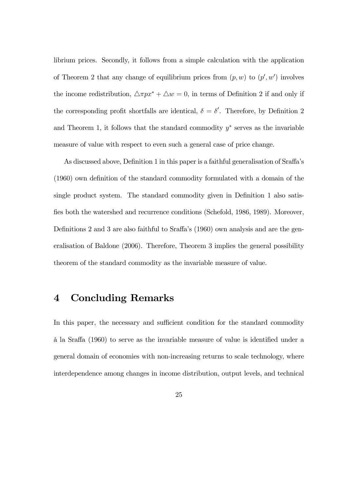librium prices. Secondly, it follows from a simple calculation with the application of Theorem 2 that any change of equilibrium prices from  $(p, w)$  to  $(p', w')$  involves the income redistribution,  $\triangle \pi px^* + \triangle w = 0$ , in terms of Definition 2 if and only if the corresponding profit shortfalls are identical,  $\delta = \delta'$ . Therefore, by Definition 2 and Theorem 1, it follows that the standard commodity  $y^*$  serves as the invariable measure of value with respect to even such a general case of price change.

As discussed above, Definition 1 in this paper is a faithful generalisation of Sraffa's (1960) own definition of the standard commodity formulated with a domain of the single product system. The standard commodity given in Definition 1 also satisfies both the watershed and recurrence conditions (Schefold, 1986, 1989). Moreover, Definitions 2 and 3 are also faithful to Sraffa's (1960) own analysis and are the generalisation of Baldone (2006). Therefore, Theorem 3 implies the general possibility theorem of the standard commodity as the invariable measure of value.

## 4 Concluding Remarks

In this paper, the necessary and sufficient condition for the standard commodity à la Sraffa (1960) to serve as the invariable measure of value is identified under a general domain of economies with non-increasing returns to scale technology, where interdependence among changes in income distribution, output levels, and technical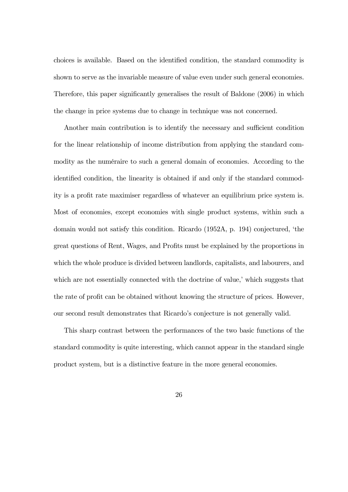choices is available. Based on the identified condition, the standard commodity is shown to serve as the invariable measure of value even under such general economies. Therefore, this paper significantly generalises the result of Baldone (2006) in which the change in price systems due to change in technique was not concerned.

Another main contribution is to identify the necessary and sufficient condition for the linear relationship of income distribution from applying the standard commodity as the numéraire to such a general domain of economies. According to the identified condition, the linearity is obtained if and only if the standard commodity is a profit rate maximiser regardless of whatever an equilibrium price system is. Most of economies, except economies with single product systems, within such a domain would not satisfy this condition. Ricardo (1952A, p. 194) conjectured, 'the great questions of Rent, Wages, and Profits must be explained by the proportions in which the whole produce is divided between landlords, capitalists, and labourers, and which are not essentially connected with the doctrine of value,' which suggests that the rate of profit can be obtained without knowing the structure of prices. However, our second result demonstrates that Ricardo's conjecture is not generally valid.

This sharp contrast between the performances of the two basic functions of the standard commodity is quite interesting, which cannot appear in the standard single product system, but is a distinctive feature in the more general economies.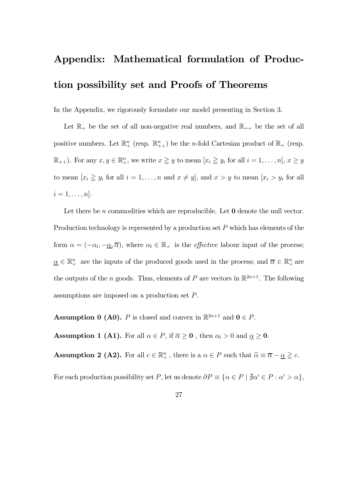# Appendix: Mathematical formulation of Production possibility set and Proofs of Theorems

In the Appendix, we rigorously formulate our model presenting in Section 3.

Let  $\mathbb{R}_+$  be the set of all non-negative real numbers, and  $\mathbb{R}_{++}$  be the set of all positive numbers. Let  $\mathbb{R}^n_+$  (resp.  $\mathbb{R}^n_{++}$ ) be the *n*-fold Cartesian product of  $\mathbb{R}_+$  (resp.  $\mathbb{R}_{++}$ ). For any  $x, y \in \mathbb{R}_+^n$ , we write  $x \geq y$  to mean  $[x_i \geq y_i \text{ for all } i = 1, \ldots, n], x \geq y$ to mean  $[x_i \geq y_i \text{ for all } i = 1, ..., n \text{ and } x \neq y]$ , and  $x > y$  to mean  $[x_i > y_i \text{ for all } i = 1, ..., n \text{ and } x \neq y]$  $i=1,\ldots,n].$ 

Let there be n commodities which are reproducible. Let  $\mathbf 0$  denote the null vector. Production technology is represented by a production set  $P$  which has elements of the form  $\alpha = (-\alpha_l, -\underline{\alpha}, \overline{\alpha})$ , where  $\alpha_l \in \mathbb{R}_+$  is the *effective* labour input of the process;  $\underline{\alpha} \in \mathbb{R}^n_+$  are the inputs of the produced goods used in the process; and  $\overline{\alpha} \in \mathbb{R}^n_+$  are the outputs of the n goods. Thus, elements of P are vectors in  $\mathbb{R}^{2n+1}$ . The following assumptions are imposed on a production set P.

**Assumption 0 (A0).** P is closed and convex in  $\mathbb{R}^{2n+1}$  and  $\mathbf{0} \in P$ .

**Assumption 1 (A1).** For all  $\alpha \in P$ , if  $\overline{\alpha} \ge 0$ , then  $\alpha_l > 0$  and  $\underline{\alpha} \ge 0$ .

**Assumption 2 (A2).** For all  $c \in \mathbb{R}^n_+$ , there is a  $\alpha \in P$  such that  $\widehat{\alpha} \equiv \overline{\alpha} - \underline{\alpha} \geq c$ .

For each production possibility set P, let us denote  $\partial P \equiv \{\alpha \in P \mid \nexists \alpha' \in P : \alpha' > \alpha\},\$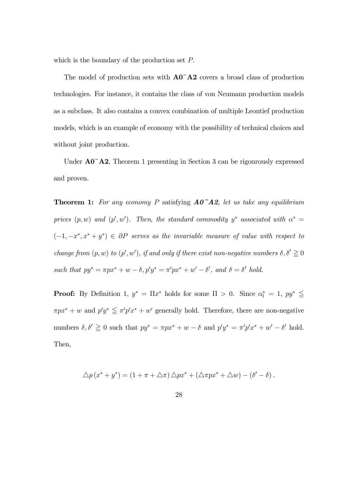which is the boundary of the production set P.

The model of production sets with  $A0^{\dagger}A2$  covers a broad class of production technologies. For instance, it contains the class of von Neumann production models as a subclass. It also contains a convex combination of multiple Leontief production models, which is an example of economy with the possibility of technical choices and without joint production.

Under  $\mathbf{A0}^{\sim} \mathbf{A2}$ , Theorem 1 presenting in Section 3 can be rigourously expressed and proven.

**Theorem 1:** For any economy P satisfying  $AO^{\dagger}A2$ , let us take any equilibrium prices  $(p, w)$  and  $(p', w')$ . Then, the standard commodity y<sup>\*</sup> associated with  $\alpha^* =$  $(-1, -x^*, x^* + y^*) \in \partial P$  serves as the invariable measure of value with respect to change from  $(p, w)$  to  $(p', w')$ , if and only if there exist non-negative numbers  $\delta, \delta' \geq 0$ such that  $py^* = \pi px^* + w - \delta$ ,  $p'y^* = \pi'px^* + w' - \delta'$ , and  $\delta = \delta'$  hold.

**Proof:** By Definition 1,  $y^* = \Pi x^*$  holds for some  $\Pi > 0$ . Since  $\alpha_l^* = 1$ ,  $py^* \leq$  $\pi px^* + w$  and  $p'y^* \leq \pi'p'x^* + w'$  generally hold. Therefore, there are non-negative numbers  $\delta, \delta' \geq 0$  such that  $py^* = \pi px^* + w - \delta$  and  $p'y^* = \pi'p'x^* + w' - \delta'$  hold. Then,

$$
\Delta p(x^* + y^*) = (1 + \pi + \Delta \pi) \Delta p x^* + (\Delta \pi p x^* + \Delta w) - (\delta' - \delta).
$$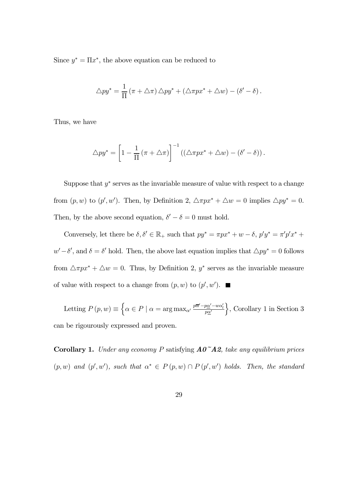Since  $y^* = \Pi x^*$ , the above equation can be reduced to

$$
\triangle py^* = \frac{1}{\Pi} (\pi + \triangle \pi) \triangle py^* + (\triangle \pi px^* + \triangle w) - (\delta' - \delta).
$$

Thus, we have

$$
\triangle py^* = \left[1 - \frac{1}{\Pi} \left(\pi + \triangle \pi\right)\right]^{-1} \left(\left(\triangle \pi p x^* + \triangle w\right) - \left(\delta' - \delta\right)\right).
$$

Suppose that  $y^*$  serves as the invariable measure of value with respect to a change from  $(p, w)$  to  $(p', w')$ . Then, by Definition 2,  $\triangle \pi p x^* + \triangle w = 0$  implies  $\triangle p y^* = 0$ . Then, by the above second equation,  $\delta' - \delta = 0$  must hold.

Conversely, let there be  $\delta, \delta' \in \mathbb{R}_+$  such that  $py^* = \pi px^* + w - \delta$ ,  $p'y^* = \pi'p'x^* +$  $w'-\delta'$ , and  $\delta = \delta'$  hold. Then, the above last equation implies that  $\Delta py^* = 0$  follows from  $\triangle \pi px^* + \triangle w = 0$ . Thus, by Definition 2,  $y^*$  serves as the invariable measure of value with respect to a change from  $(p, w)$  to  $(p', w')$ .

Letting  $P(p, w) \equiv \left\{ \alpha \in P \mid \alpha = \arg \max_{\alpha'} \frac{p\overline{\alpha}' - p\alpha' - w\alpha'_p}{p\alpha'} \right\}$  $\}$ , Corollary 1 in Section 3 can be rigourously expressed and proven.

**Corollary 1.** Under any economy P satisfying  $AO^{\sim}AA2$ , take any equilibrium prices  $(p, w)$  and  $(p', w')$ , such that  $\alpha^* \in P(p, w) \cap P(p', w')$  holds. Then, the standard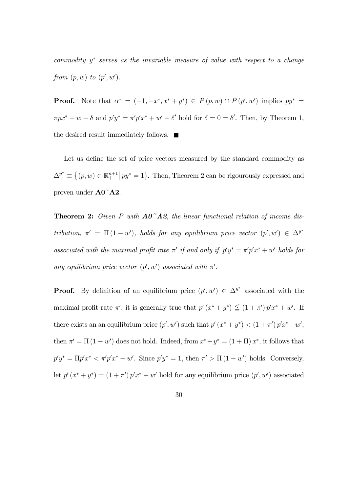commodity  $y^*$  serves as the invariable measure of value with respect to a change from  $(p, w)$  to  $(p', w')$ .

**Proof.** Note that  $\alpha^* = (-1, -x^*, x^* + y^*) \in P(p, w) \cap P(p', w')$  implies  $py^* =$  $\pi px^* + w - \delta$  and  $p'y^* = \pi'p'x^* + w' - \delta'$  hold for  $\delta = 0 = \delta'$ . Then, by Theorem 1, the desired result immediately follows.  $\blacksquare$ 

Let us define the set of price vectors measured by the standard commodity as  $\Delta^{y^*} \equiv \{(p, w) \in \mathbb{R}^{n+1}_+ \mid py^* = 1\}.$  Then, Theorem 2 can be rigourously expressed and proven under A0~A2.

**Theorem 2:** Given P with  $AO^{\sim}A2$ , the linear functional relation of income distribution,  $\pi' = \Pi(1 - w')$ , holds for any equilibrium price vector  $(p', w') \in \Delta^{y^*}$ associated with the maximal profit rate  $\pi'$  if and only if  $p'y^* = \pi'p'x^* + w'$  holds for any equilibrium price vector  $(p', w')$  associated with  $\pi'$ .

**Proof.** By definition of an equilibrium price  $(p', w') \in \Delta^{y^*}$  associated with the maximal profit rate  $\pi'$ , it is generally true that  $p'(x^* + y^*) \leq (1 + \pi')p'x^* + w'$ . If there exists an an equilibrium price  $(p', w')$  such that  $p'(x^* + y^*) < (1 + \pi')p'x^* + w'$ , then  $\pi' = \Pi(1 - w')$  does not hold. Indeed, from  $x^* + y^* = (1 + \Pi)x^*$ , it follows that  $p'y^* = \Pi p'x^* < \pi'p'x^* + w'$ . Since  $p'y^* = 1$ , then  $\pi' > \Pi(1 - w')$  holds. Conversely, let  $p'(x^* + y^*) = (1 + \pi')p'x^* + w'$  hold for any equilibrium price  $(p', w')$  associated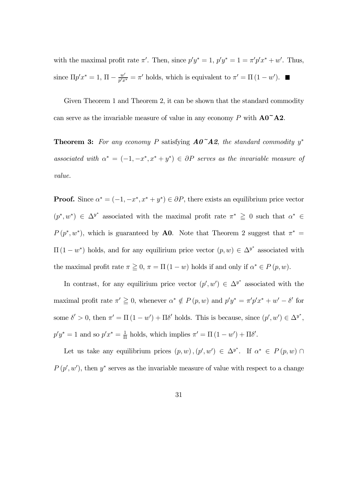with the maximal profit rate  $\pi'$ . Then, since  $p'y^* = 1$ ,  $p'y^* = 1 = \pi'p'x^* + w'$ . Thus, since  $\Pi p' x^* = 1$ ,  $\Pi - \frac{w'}{p' x^*} = \pi'$  holds, which is equivalent to  $\pi' = \Pi (1 - w')$ .

Given Theorem 1 and Theorem 2, it can be shown that the standard commodity can serve as the invariable measure of value in any economy P with  $\mathbf{A0}^{\dagger}\mathbf{A2}$ .

**Theorem 3:** For any economy P satisfying  $AO^{\dagger}A2$ , the standard commodity y<sup>\*</sup> associated with  $\alpha^* = (-1, -x^*, x^* + y^*) \in \partial P$  serves as the invariable measure of value.

**Proof.** Since  $\alpha^* = (-1, -x^*, x^* + y^*) \in \partial P$ , there exists an equilibrium price vector  $(p^*, w^*) \in \Delta^{y^*}$  associated with the maximal profit rate  $\pi^* \geq 0$  such that  $\alpha^* \in$  $P(p^*, w^*)$ , which is guaranteed by **A0**. Note that Theorem 2 suggest that  $\pi^* =$  $\Pi(1-w^*)$  holds, and for any equilirium price vector  $(p, w) \in \Delta^{y^*}$  associated with the maximal profit rate  $\pi \geq 0$ ,  $\pi = \Pi(1 - w)$  holds if and only if  $\alpha^* \in P(p, w)$ .

In contrast, for any equilirium price vector  $(p', w') \in \Delta^{y^*}$  associated with the maximal profit rate  $\pi' \geq 0$ , whenever  $\alpha^* \notin P(p, w)$  and  $p'y^* = \pi'p'x^* + w' - \delta'$  for some  $\delta' > 0$ , then  $\pi' = \Pi(1 - w') + \Pi \delta'$  holds. This is because, since  $(p', w') \in \Delta^{y^*}$ ,  $p'y^* = 1$  and so  $p'x^* = \frac{1}{\Pi}$  holds, which implies  $\pi' = \Pi(1 - w') + \Pi\delta'.$ 

Let us take any equilibrium prices  $(p, w), (p', w') \in \Delta^{y^*}$ . If  $\alpha^* \in P(p, w) \cap$  $P(p', w')$ , then  $y^*$  serves as the invariable measure of value with respect to a change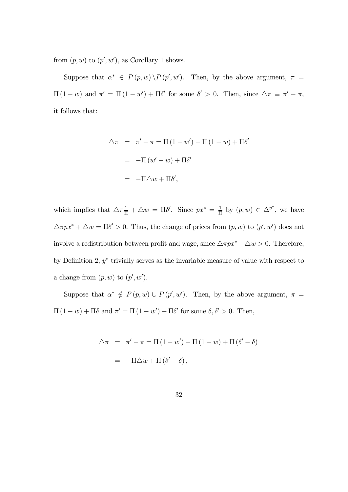from  $(p, w)$  to  $(p', w')$ , as Corollary 1 shows.

Suppose that  $\alpha^* \in P(p, w) \backslash P(p', w')$ . Then, by the above argument,  $\pi =$  $\Pi(1-w)$  and  $\pi' = \Pi(1-w') + \Pi\delta'$  for some  $\delta' > 0$ . Then, since  $\Delta \pi \equiv \pi' - \pi$ , it follows that:

$$
\Delta \pi = \pi' - \pi = \Pi (1 - w') - \Pi (1 - w) + \Pi \delta'
$$

$$
= -\Pi (w' - w) + \Pi \delta'
$$

$$
= -\Pi \Delta w + \Pi \delta',
$$

which implies that  $\Delta \pi \frac{1}{\Pi} + \Delta w = \Pi \delta'$ . Since  $px^* = \frac{1}{\Pi}$  by  $(p, w) \in \Delta^{y^*}$ , we have  $\triangle \pi px^* + \triangle w = \Pi \delta' > 0$ . Thus, the change of prices from  $(p, w)$  to  $(p', w')$  does not involve a redistribution between profit and wage, since  $\triangle \pi px^* + \triangle w > 0$ . Therefore, by Definition 2,  $y^*$  trivially serves as the invariable measure of value with respect to a change from  $(p, w)$  to  $(p', w')$ .

Suppose that  $\alpha^* \notin P(p, w) \cup P(p', w')$ . Then, by the above argument,  $\pi =$  $\Pi(1-w) + \Pi\delta$  and  $\pi' = \Pi(1 - w') + \Pi\delta'$  for some  $\delta, \delta' > 0$ . Then,

$$
\Delta \pi = \pi' - \pi = \Pi (1 - w') - \Pi (1 - w) + \Pi (\delta' - \delta)
$$

$$
= -\Pi \Delta w + \Pi (\delta' - \delta),
$$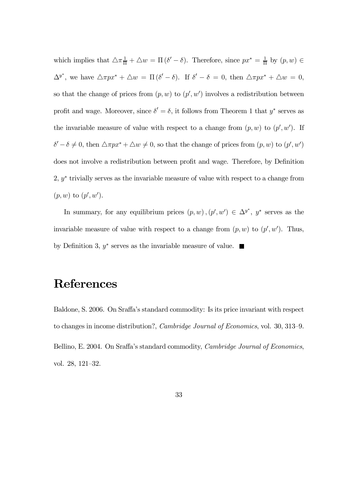which implies that  $\Delta \pi \frac{1}{\Pi} + \Delta w = \Pi (\delta' - \delta)$ . Therefore, since  $px^* = \frac{1}{\Pi}$  by  $(p, w) \in$  $\Delta^{y^*}$ , we have  $\Delta \pi p x^* + \Delta w = \Pi (\delta' - \delta)$ . If  $\delta' - \delta = 0$ , then  $\Delta \pi p x^* + \Delta w = 0$ , so that the change of prices from  $(p, w)$  to  $(p', w')$  involves a redistribution between profit and wage. Moreover, since  $\delta' = \delta$ , it follows from Theorem 1 that  $y^*$  serves as the invariable measure of value with respect to a change from  $(p, w)$  to  $(p', w')$ . If  $\delta' - \delta \neq 0$ , then  $\triangle \pi p x^* + \triangle w \neq 0$ , so that the change of prices from  $(p, w)$  to  $(p', w')$ does not involve a redistribution between profit and wage. Therefore, by Definition 2,  $y^*$  trivially serves as the invariable measure of value with respect to a change from  $(p, w)$  to  $(p', w')$ .

In summary, for any equilibrium prices  $(p, w)$ ,  $(p', w') \in \Delta^{y^*}$ ,  $y^*$  serves as the invariable measure of value with respect to a change from  $(p, w)$  to  $(p', w')$ . Thus, by Definition 3,  $y^*$  serves as the invariable measure of value. ■

## References

Baldone, S. 2006. On Sraffa's standard commodity: Is its price invariant with respect to changes in income distribution?, Cambridge Journal of Economics, vol. 30, 313—9. Bellino, E. 2004. On Sraffa's standard commodity, *Cambridge Journal of Economics*, vol. 28, 121—32.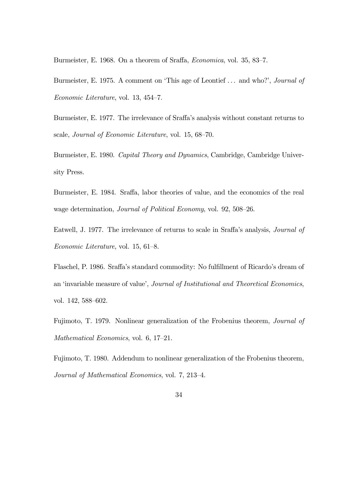Burmeister, E. 1968. On a theorem of Sraffa, Economica, vol. 35, 83—7.

Burmeister, E. 1975. A comment on 'This age of Leontief ... and who?', *Journal of* Economic Literature, vol. 13, 454—7.

Burmeister, E. 1977. The irrelevance of Sraffa's analysis without constant returns to scale, Journal of Economic Literature, vol. 15, 68—70.

Burmeister, E. 1980. Capital Theory and Dynamics, Cambridge, Cambridge University Press.

Burmeister, E. 1984. Sraffa, labor theories of value, and the economics of the real wage determination, Journal of Political Economy, vol. 92, 508—26.

Eatwell, J. 1977. The irrelevance of returns to scale in Sraffa's analysis, Journal of Economic Literature, vol. 15, 61—8.

Flaschel, P. 1986. Sraffa's standard commodity: No fulfillment of Ricardo's dream of an 'invariable measure of value', Journal of Institutional and Theoretical Economics, vol. 142, 588—602.

Fujimoto, T. 1979. Nonlinear generalization of the Frobenius theorem, Journal of Mathematical Economics, vol. 6, 17—21.

Fujimoto, T. 1980. Addendum to nonlinear generalization of the Frobenius theorem, Journal of Mathematical Economics, vol. 7, 213—4.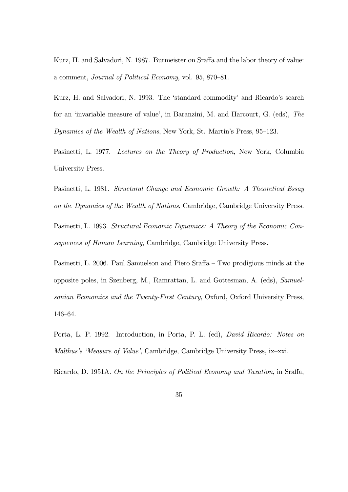Kurz, H. and Salvadori, N. 1987. Burmeister on Sraffa and the labor theory of value: a comment, Journal of Political Economy, vol. 95, 870—81.

Kurz, H. and Salvadori, N. 1993. The 'standard commodity' and Ricardo's search for an 'invariable measure of value', in Baranzini, M. and Harcourt, G. (eds), The Dynamics of the Wealth of Nations, New York, St. Martin's Press, 95—123.

Pasinetti, L. 1977. Lectures on the Theory of Production, New York, Columbia University Press.

Pasinetti, L. 1981. Structural Change and Economic Growth: A Theoretical Essay on the Dynamics of the Wealth of Nations, Cambridge, Cambridge University Press. Pasinetti, L. 1993. Structural Economic Dynamics: A Theory of the Economic Consequences of Human Learning, Cambridge, Cambridge University Press.

Pasinetti, L. 2006. Paul Samuelson and Piero Sraffa — Two prodigious minds at the opposite poles, in Szenberg, M., Ramrattan, L. and Gottesman, A. (eds), Samuelsonian Economics and the Twenty-First Century, Oxford, Oxford University Press, 146—64.

Porta, L. P. 1992. Introduction, in Porta, P. L. (ed), David Ricardo: Notes on Malthus's 'Measure of Value', Cambridge, Cambridge University Press, ix—xxi.

Ricardo, D. 1951A. On the Principles of Political Economy and Taxation, in Sraffa,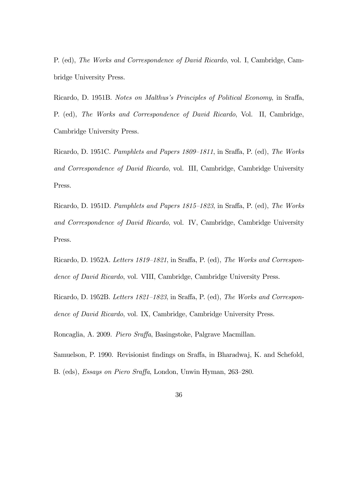P. (ed), The Works and Correspondence of David Ricardo, vol. I, Cambridge, Cambridge University Press.

Ricardo, D. 1951B. Notes on Malthus's Principles of Political Economy, in Sraffa, P. (ed), The Works and Correspondence of David Ricardo, Vol. II, Cambridge, Cambridge University Press.

Ricardo, D. 1951C. Pamphlets and Papers 1809—1811, in Sraffa, P. (ed), The Works and Correspondence of David Ricardo, vol. III, Cambridge, Cambridge University Press.

Ricardo, D. 1951D. Pamphlets and Papers 1815—1823, in Sraffa, P. (ed), The Works and Correspondence of David Ricardo, vol. IV, Cambridge, Cambridge University Press.

Ricardo, D. 1952A. Letters 1819—1821, in Sraffa, P. (ed), The Works and Correspondence of David Ricardo, vol. VIII, Cambridge, Cambridge University Press.

Ricardo, D. 1952B. Letters 1821—1823, in Sraffa, P. (ed), The Works and Correspondence of David Ricardo, vol. IX, Cambridge, Cambridge University Press.

Roncaglia, A. 2009. Piero Sraffa, Basingstoke, Palgrave Macmillan.

Samuelson, P. 1990. Revisionist findings on Sraffa, in Bharadwaj, K. and Schefold, B. (eds), Essays on Piero Sraffa, London, Unwin Hyman, 263—280.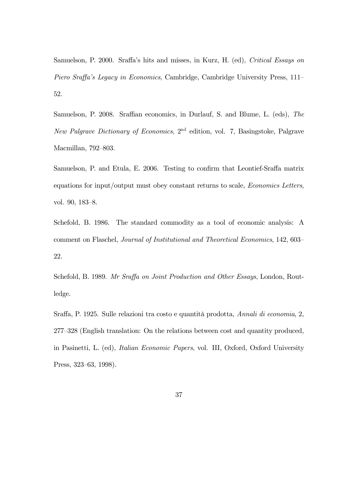Samuelson, P. 2000. Sraffa's hits and misses, in Kurz, H. (ed), Critical Essays on Piero Sraffa's Legacy in Economics, Cambridge, Cambridge University Press, 111— 52.

Samuelson, P. 2008. Sraffian economics, in Durlauf, S. and Blume, L. (eds), The New Palgrave Dictionary of Economics, 2nd edition, vol. 7, Basingstoke, Palgrave Macmillan, 792—803.

Samuelson, P. and Etula, E. 2006. Testing to confirm that Leontief-Sraffa matrix equations for input/output must obey constant returns to scale, Economics Letters, vol. 90, 183—8.

Schefold, B. 1986. The standard commodity as a tool of economic analysis: A comment on Flaschel, Journal of Institutional and Theoretical Economics, 142, 603— 22.

Schefold, B. 1989. Mr Sraffa on Joint Production and Other Essays, London, Routledge.

Sraffa, P. 1925. Sulle relazioni tra costo e quantità prodotta, Annali di economia, 2, 277—328 (English translation: On the relations between cost and quantity produced, in Pasinetti, L. (ed), Italian Economic Papers, vol. III, Oxford, Oxford University Press, 323—63, 1998).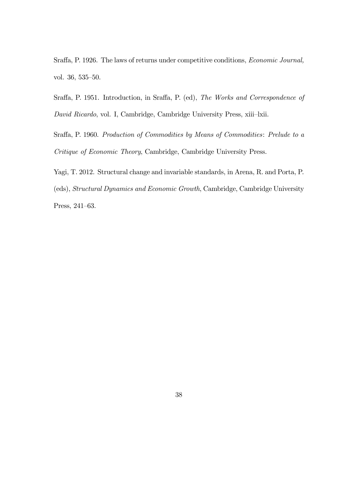Sraffa, P. 1926. The laws of returns under competitive conditions, Economic Journal, vol. 36, 535—50.

Sraffa, P. 1951. Introduction, in Sraffa, P. (ed), The Works and Correspondence of David Ricardo, vol. I, Cambridge, Cambridge University Press, xiii—lxii.

Sraffa, P. 1960. Production of Commodities by Means of Commodities: Prelude to a Critique of Economic Theory, Cambridge, Cambridge University Press.

Yagi, T. 2012. Structural change and invariable standards, in Arena, R. and Porta, P. (eds), Structural Dynamics and Economic Growth, Cambridge, Cambridge University

Press, 241—63.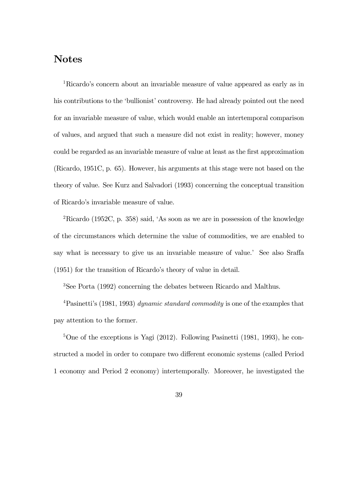## Notes

1Ricardo's concern about an invariable measure of value appeared as early as in his contributions to the 'bullionist' controversy. He had already pointed out the need for an invariable measure of value, which would enable an intertemporal comparison of values, and argued that such a measure did not exist in reality; however, money could be regarded as an invariable measure of value at least as the first approximation (Ricardo, 1951C, p. 65). However, his arguments at this stage were not based on the theory of value. See Kurz and Salvadori (1993) concerning the conceptual transition of Ricardo's invariable measure of value.

2Ricardo (1952C, p. 358) said, 'As soon as we are in possession of the knowledge of the circumstances which determine the value of commodities, we are enabled to say what is necessary to give us an invariable measure of value.' See also Sraffa (1951) for the transition of Ricardo's theory of value in detail.

3See Porta (1992) concerning the debates between Ricardo and Malthus.

<sup>4</sup>Pasinetti's (1981, 1993) *dynamic standard commodity* is one of the examples that pay attention to the former.

 $5$ One of the exceptions is Yagi (2012). Following Pasinetti (1981, 1993), he constructed a model in order to compare two different economic systems (called Period 1 economy and Period 2 economy) intertemporally. Moreover, he investigated the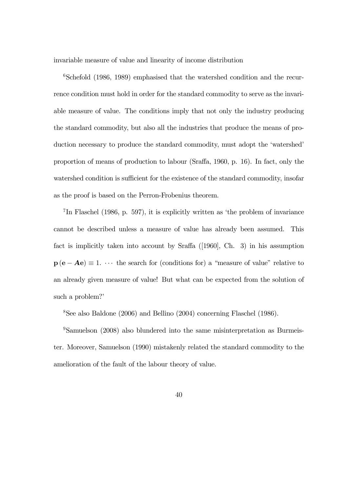invariable measure of value and linearity of income distribution

<sup>6</sup>Schefold (1986, 1989) emphasised that the watershed condition and the recurrence condition must hold in order for the standard commodity to serve as the invariable measure of value. The conditions imply that not only the industry producing the standard commodity, but also all the industries that produce the means of production necessary to produce the standard commodity, must adopt the 'watershed' proportion of means of production to labour (Sraffa, 1960, p. 16). In fact, only the watershed condition is sufficient for the existence of the standard commodity, insofar as the proof is based on the Perron-Frobenius theorem.

7In Flaschel (1986, p. 597), it is explicitly written as 'the problem of invariance cannot be described unless a measure of value has already been assumed. This fact is implicitly taken into account by Sraffa ([1960], Ch. 3) in his assumption  $\mathbf{p}(\mathbf{e} - \mathbf{A}\mathbf{e}) \equiv 1$ .  $\cdots$  the search for (conditions for) a "measure of value" relative to an already given measure of value! But what can be expected from the solution of such a problem?'

8See also Baldone (2006) and Bellino (2004) concerning Flaschel (1986).

<sup>9</sup>Samuelson (2008) also blundered into the same misinterpretation as Burmeister. Moreover, Samuelson (1990) mistakenly related the standard commodity to the amelioration of the fault of the labour theory of value.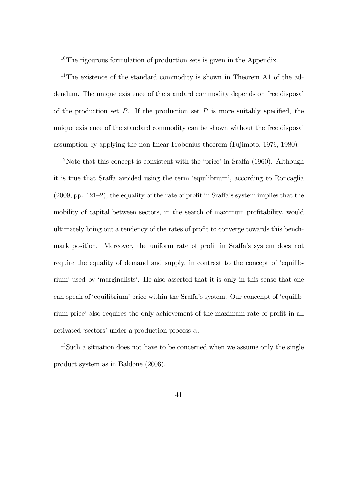<sup>10</sup>The rigourous formulation of production sets is given in the Appendix.

<sup>11</sup>The existence of the standard commodity is shown in Theorem A1 of the addendum. The unique existence of the standard commodity depends on free disposal of the production set  $P$ . If the production set  $P$  is more suitably specified, the unique existence of the standard commodity can be shown without the free disposal assumption by applying the non-linear Frobenius theorem (Fujimoto, 1979, 1980).

 $12$ Note that this concept is consistent with the 'price' in Sraffa (1960). Although it is true that Sraffa avoided using the term 'equilibrium', according to Roncaglia (2009, pp. 121—2), the equality of the rate of profit in Sraffa's system implies that the mobility of capital between sectors, in the search of maximum profitability, would ultimately bring out a tendency of the rates of profit to converge towards this benchmark position. Moreover, the uniform rate of profit in Sraffa's system does not require the equality of demand and supply, in contrast to the concept of 'equilibrium' used by 'marginalists'. He also asserted that it is only in this sense that one can speak of 'equilibrium' price within the Sraffa's system. Our concenpt of 'equilibrium price' also requires the only achievement of the maximam rate of profit in all activated 'sectors' under a production process  $\alpha$ .

<sup>13</sup>Such a situation does not have to be concerned when we assume only the single product system as in Baldone (2006).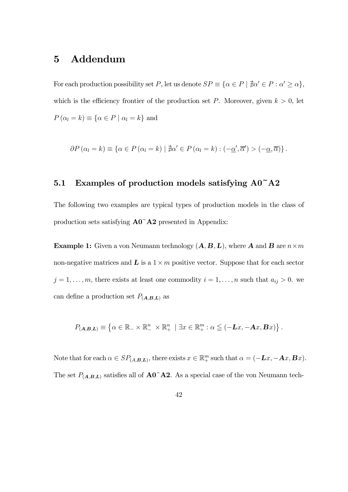## 5 Addendum

For each production possibility set P, let us denote  $SP \equiv {\alpha \in P \mid \nexists \alpha' \in P : \alpha' \geq \alpha}$ , which is the efficiency frontier of the production set  $P$ . Moreover, given  $k > 0$ , let  $P(\alpha_l = k) \equiv {\alpha \in P \mid \alpha_l = k}$  and

$$
\partial P(\alpha_l = k) \equiv \{ \alpha \in P(\alpha_l = k) \mid \nexists \alpha' \in P(\alpha_l = k) : (-\underline{\alpha}', \overline{\alpha}') > (-\underline{\alpha}, \overline{\alpha}) \}.
$$

### 5.1 Examples of production models satisfying  $A0^{\dagger}A2$

The following two examples are typical types of production models in the class of production sets satisfying A0~A2 presented in Appendix:

**Example 1:** Given a von Neumann technology  $(A, B, L)$ , where **A** and **B** are  $n \times m$ non-negative matrices and  $\bf{L}$  is a  $1 \times m$  positive vector. Suppose that for each sector  $j = 1, \ldots, m$ , there exists at least one commodity  $i = 1, \ldots, n$  such that  $a_{ij} > 0$ . we can define a production set  $P_{(A,B,L)}$  as

$$
P_{(\mathbf{A},\mathbf{B},\mathbf{L})} \equiv \left\{ \alpha \in \mathbb{R}_{-} \times \mathbb{R}_{-}^{n} \times \mathbb{R}_{+}^{n} \mid \exists x \in \mathbb{R}_{+}^{m} : \alpha \leq (-\mathbf{L}x, -\mathbf{A}x, \mathbf{B}x) \right\}.
$$

Note that for each  $\alpha \in SP_{(A,B,L)}$ , there exists  $x \in \mathbb{R}^m_+$  such that  $\alpha = (-\mathbf{L}x, -\mathbf{A}x, \mathbf{B}x)$ . The set  $P_{(A,B,L)}$  satisfies all of  $\mathbf{A0}^{\sim}\mathbf{A2}$ . As a special case of the von Neumann tech-

42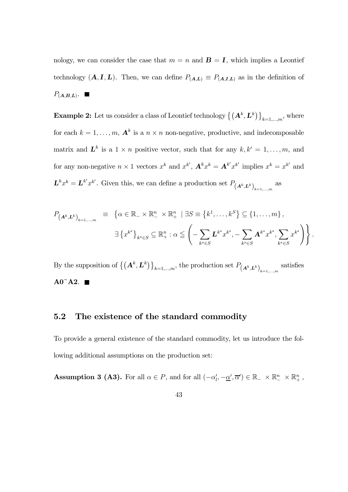nology, we can consider the case that  $m = n$  and  $\mathbf{B} = \mathbf{I}$ , which implies a Leontief technology  $(A, I, L)$ . Then, we can define  $P_{(A,L)} \equiv P_{(A,I,L)}$  as in the definition of  $P_{(\boldsymbol{A},\boldsymbol{B},\boldsymbol{L})}$ .

**Example 2:** Let us consider a class of Leontief technology  $\{(\mathbf{A}^k, \mathbf{L}^k)\}_{k=1,\dots,m}$ , where for each  $k = 1, ..., m$ ,  $\mathbf{A}^k$  is a  $n \times n$  non-negative, productive, and indecomposable matrix and  $\mathbf{L}^k$  is a  $1 \times n$  positive vector, such that for any  $k, k' = 1, \ldots, m$ , and for any non-negative  $n \times 1$  vectors  $x^k$  and  $x^{k'}$ ,  $\mathbf{A}^k x^k = \mathbf{A}^{k'} x^{k'}$  implies  $x^k = x^{k'}$  and  $\mathbf{L}^k x^k = \mathbf{L}^{k'} x^{k'}$ . Given this, we can define a production set  $P_{(\mathbf{A}^k, \mathbf{L}^k)}_{k=1,\dots,m}$  as

$$
P_{(\mathbf{A}^k, \mathbf{L}^k)_{k=1,\dots,m}} \equiv \left\{ \alpha \in \mathbb{R}_- \times \mathbb{R}^n_- \times \mathbb{R}^n_+ \mid \exists S \equiv \left\{ k^1, \dots, k^S \right\} \subseteq \left\{ 1, \dots, m \right\},
$$
  

$$
\exists \left\{ x^{k^s} \right\}_{k^s \in S} \subseteq \mathbb{R}^n_+ : \alpha \leq \left( - \sum_{k^s \in S} \mathbf{L}^{k^s} x^{k^s}, - \sum_{k^s \in S} \mathbf{A}^{k^s} x^{k^s}, \sum_{k^s \in S} x^{k^s} \right) \right\}.
$$

By the supposition of  $\{(\mathbf{A}^k, \mathbf{L}^k)\}_{k=1,\dots,m}$ , the production set  $P_{(\mathbf{A}^k, \mathbf{L}^k)}_{k=1,\dots,m}$  satisfies  $A0^{\sim}A2.$ 

### 5.2 The existence of the standard commodity

To provide a general existence of the standard commodity, let us introduce the following additional assumptions on the production set:

**Assumption 3 (A3).** For all  $\alpha \in P$ , and for all  $(-\alpha'_l, -\underline{\alpha}', \overline{\alpha}') \in \mathbb{R}_+ \times \mathbb{R}_+^n \times \mathbb{R}_+^n$ ,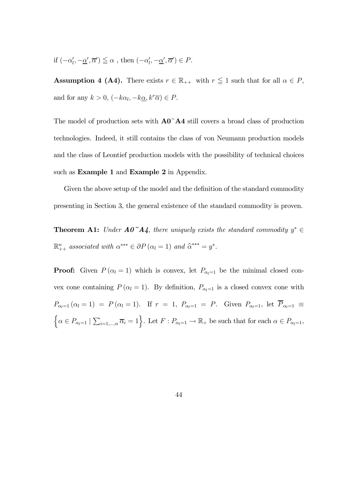if  $(-\alpha'_l, -\underline{\alpha}', \overline{\alpha}') \leq \alpha$ , then  $(-\alpha'_l, -\underline{\alpha}', \overline{\alpha}') \in P$ .

**Assumption 4 (A4).** There exists  $r \in \mathbb{R}_{++}$  with  $r \leq 1$  such that for all  $\alpha \in P$ , and for any  $k > 0$ ,  $(-k\alpha_l, -k\underline{\alpha}, k^r\overline{\alpha}) \in P$ .

The model of production sets with  $A0^{\dagger}A4$  still covers a broad class of production technologies. Indeed, it still contains the class of von Neumann production models and the class of Leontief production models with the possibility of technical choices such as **Example 1** and **Example 2** in Appendix.

Given the above setup of the model and the definition of the standard commodity presenting in Section 3, the general existence of the standard commodity is proven.

**Theorem A1:** Under  $A0^{\dagger}A$ , there uniquely exists the standard commodity  $y^* \in$  $\mathbb{R}^n_{++}$  associated with  $\alpha^{***} \in \partial P(\alpha_l = 1)$  and  $\widehat{\alpha}^{***} = y^*$ .

**Proof:** Given  $P(\alpha_l = 1)$  which is convex, let  $P_{\alpha_l=1}$  be the minimal closed convex cone containing  $P(\alpha_l = 1)$ . By definition,  $P_{\alpha_l=1}$  is a closed convex cone with  $P_{\alpha_l=1} (\alpha_l = 1) = P(\alpha_l = 1)$ . If  $r = 1$ ,  $P_{\alpha_l=1} = P$ . Given  $P_{\alpha_l=1}$ , let  $\overline{P}_{\alpha_l=1} \equiv$  $\Big\{\alpha \in P_{\alpha_l=1} \mid \sum_{i=1,\dots,n} \overline{\alpha}_i = 1 \Big\}$ . Let  $F: P_{\alpha_l=1} \to \mathbb{R}_+$  be such that for each  $\alpha \in P_{\alpha_l=1}$ ,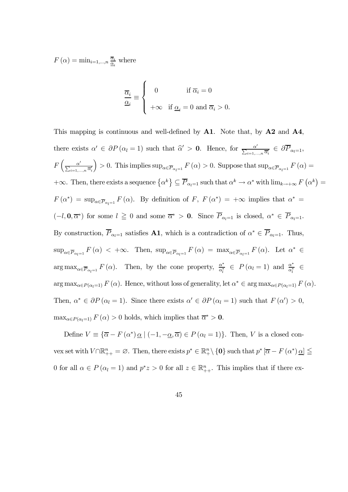$F(\alpha) = \min_{i=1,\dots,n} \frac{\overline{\alpha}_i}{\underline{\alpha}_i}$  where

$$
\frac{\overline{\alpha}_i}{\underline{\alpha}_i} \equiv \begin{cases} 0 & \text{if } \overline{\alpha}_i = 0 \\ +\infty & \text{if } \underline{\alpha}_i = 0 \text{ and } \overline{\alpha}_i > 0. \end{cases}
$$

This mapping is continuous and well-defined by  $A1$ . Note that, by  $A2$  and  $A4$ , there exists  $\alpha' \in \partial P(\alpha_i = 1)$  such that  $\widehat{\alpha}' > 0$ . Hence, for  $\frac{\alpha'}{\sum_{i=1,\dots,n} \overline{\alpha'_i}} \in \partial \overline{P}_{\alpha_i=1}$ ,  $F\left(\frac{\alpha'}{\sum_{i=1,...,n}\overline{\alpha}'_i}\right)$ ) > 0. This implies  $\sup_{\alpha \in \overline{P}_{\alpha_l=1}} F(\alpha) > 0$ . Suppose that  $\sup_{\alpha \in \overline{P}_{\alpha_l=1}} F(\alpha) =$  $+\infty$ . Then, there exists a sequence  $\{\alpha^k\}\subseteq \overline{P}_{\alpha_l=1}$  such that  $\alpha^k\to \alpha^*$  with  $\lim_{k\to+\infty}F(\alpha^k)=$  $F(\alpha^*) = \sup_{\alpha \in \overline{P}_{\alpha_i=1}} F(\alpha)$ . By definition of  $F, F(\alpha^*) = +\infty$  implies that  $\alpha^* =$  $(-l, 0, \overline{\alpha}^*)$  for some  $l \geq 0$  and some  $\overline{\alpha}^* > 0$ . Since  $\overline{P}_{\alpha_l=1}$  is closed,  $\alpha^* \in \overline{P}_{\alpha_l=1}$ . By construction,  $\overline{P}_{\alpha_l=1}$  satisfies **A1**, which is a contradiction of  $\alpha^* \in \overline{P}_{\alpha_l=1}$ . Thus,  $\sup_{\alpha \in \overline{P}_{\alpha_{l}=1}} F(\alpha) \leq +\infty$ . Then,  $\sup_{\alpha \in \overline{P}_{\alpha_{l}=1}} F(\alpha) = \max_{\alpha \in \overline{P}_{\alpha_{l}=1}} F(\alpha)$ . Let  $\alpha^* \in$  $\arg \max_{\alpha \in \overline{P}_{\alpha_l=1}} F(\alpha)$ . Then, by the cone property,  $\frac{\alpha^*}{\alpha_l^*} \in P(\alpha_l=1)$  and  $\frac{\alpha^*}{\alpha_l^*} \in$  $\arg \max_{\alpha \in P(\alpha_l=1)} F(\alpha)$ . Hence, without loss of generality, let  $\alpha^* \in \arg \max_{\alpha \in P(\alpha_l=1)} F(\alpha)$ . Then,  $\alpha^* \in \partial P(\alpha_l = 1)$ . Since there exists  $\alpha' \in \partial P(\alpha_l = 1)$  such that  $F(\alpha') > 0$ ,  $\max_{\alpha \in P(\alpha_l=1)} F(\alpha) > 0$  holds, which implies that  $\overline{\alpha}^* > 0$ .

Define  $V \equiv {\overline{\alpha} - F(\alpha^*) \underline{\alpha} \mid (-1, -\underline{\alpha}, \overline{\alpha}) \in P(\alpha_l = 1)}$ . Then, V is a closed convex set with  $V \cap \mathbb{R}_{++}^n = \emptyset$ . Then, there exists  $p^* \in \mathbb{R}_+^n \setminus \{0\}$  such that  $p^* [\overline{\alpha} - F(\alpha^*) \underline{\alpha}] \le$ 0 for all  $\alpha \in P(\alpha_i = 1)$  and  $p^*z > 0$  for all  $z \in \mathbb{R}_{++}^n$ . This implies that if there ex-